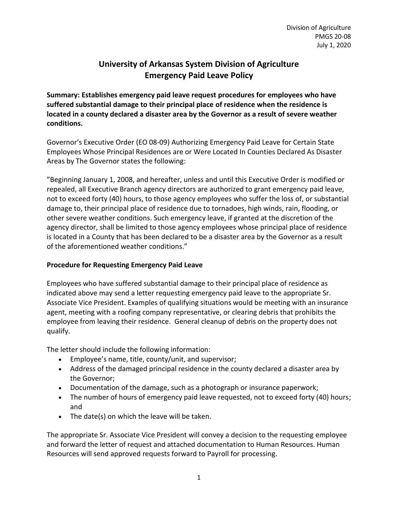## **University of Arkansas System Division of Agriculture Emergency Paid Leave Policy**

**Summary: Establishes emergency paid leave request procedures for employees who have suffered substantial damage to their principal place of residence when the residence is located in a county declared a disaster area by the Governor as a result of severe weather conditions.**

Governor's Executive Order (EO 08-09) Authorizing Emergency Paid Leave for Certain State Employees Whose Principal Residences are or Were Located In Counties Declared As Disaster Areas by The Governor states the following:

"Beginning January 1, 2008, and hereafter, unless and until this Executive Order is modified or repealed, all Executive Branch agency directors are authorized to grant emergency paid leave, not to exceed forty (40) hours, to those agency employees who suffer the loss of, or substantial damage to, their principal place of residence due to tornadoes, high winds, rain, flooding, or other severe weather conditions. Such emergency leave, if granted at the discretion of the agency director, shall be limited to those agency employees whose principal place of residence is located in a County that has been declared to be a disaster area by the Governor as a result of the aforementioned weather conditions."

## **Procedure for Requesting Emergency Paid Leave**

Employees who have suffered substantial damage to their principal place of residence as indicated above may send a letter requesting emergency paid leave to the appropriate Sr. Associate Vice President. Examples of qualifying situations would be meeting with an insurance agent, meeting with a roofing company representative, or clearing debris that prohibits the employee from leaving their residence. General cleanup of debris on the property does not qualify.

The letter should include the following information:

- Employee's name, title, county/unit, and supervisor;
- Address of the damaged principal residence in the county declared a disaster area by the Governor;
- Documentation of the damage, such as a photograph or insurance paperwork;
- The number of hours of emergency paid leave requested, not to exceed forty (40) hours; and
- The date(s) on which the leave will be taken.

The appropriate Sr. Associate Vice President will convey a decision to the requesting employee and forward the letter of request and attached documentation to Human Resources. Human Resources will send approved requests forward to Payroll for processing.